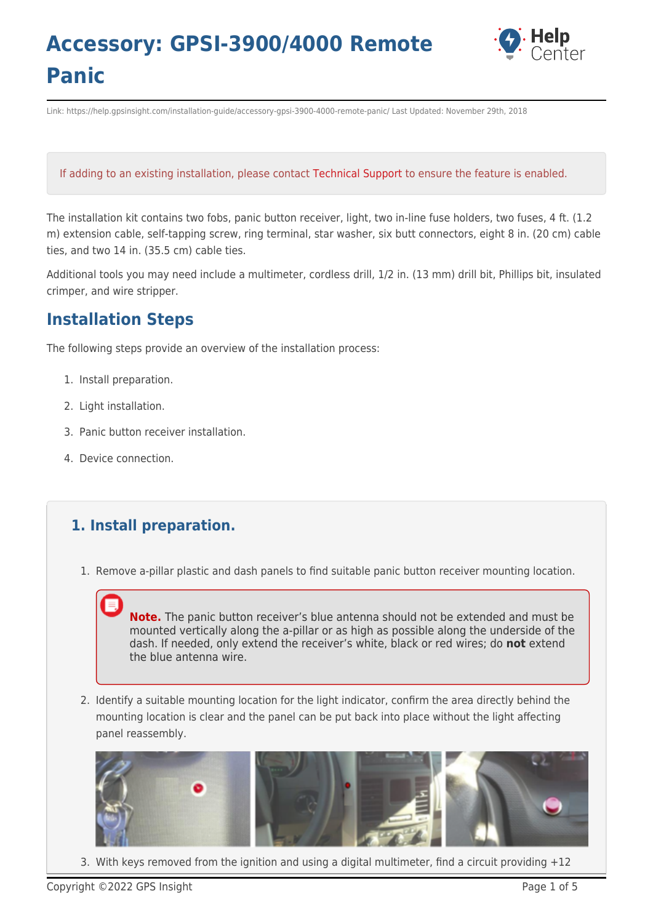

Link: https://help.gpsinsight.com/installation-guide/accessory-gpsi-3900-4000-remote-panic/ Last Updated: November 29th, 2018

#### If adding to an existing installation, please contact [Technical Support](https://help.gpsinsight.com/contact-support/) to ensure the feature is enabled.

The installation kit contains two fobs, panic button receiver, light, two in-line fuse holders, two fuses, 4 ft. (1.2 m) extension cable, self-tapping screw, ring terminal, star washer, six butt connectors, eight 8 in. (20 cm) cable ties, and two 14 in. (35.5 cm) cable ties.

Additional tools you may need include a multimeter, cordless drill, 1/2 in. (13 mm) drill bit, Phillips bit, insulated crimper, and wire stripper.

### **Installation Steps**

The following steps provide an overview of the installation process:

- 1. Install preparation.
- 2. Light installation.
- 3. Panic button receiver installation.
- 4. Device connection.

### **1. Install preparation.**

1. Remove a-pillar plastic and dash panels to find suitable panic button receiver mounting location.

**Note.** The panic button receiver's blue antenna should not be extended and must be mounted vertically along the a-pillar or as high as possible along the underside of the dash. If needed, only extend the receiver's white, black or red wires; do **not** extend the blue antenna wire.

2. Identify a suitable mounting location for the light indicator, confirm the area directly behind the mounting location is clear and the panel can be put back into place without the light affecting panel reassembly.



3. With keys removed from the ignition and using a digital multimeter, find a circuit providing  $+12$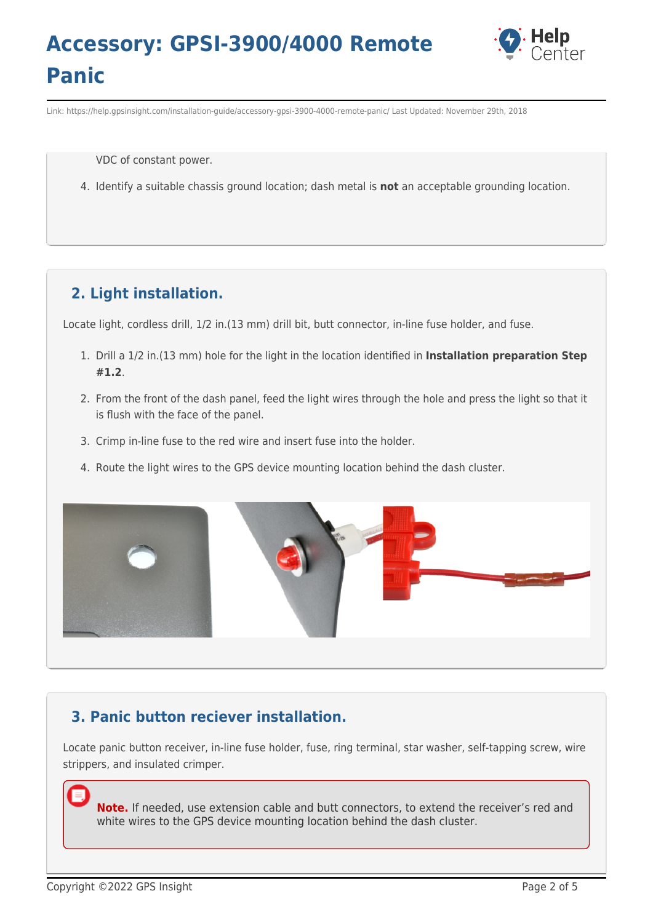

Link: https://help.gpsinsight.com/installation-guide/accessory-gpsi-3900-4000-remote-panic/ Last Updated: November 29th, 2018

VDC of constant power.

4. Identify a suitable chassis ground location; dash metal is **not** an acceptable grounding location.

### **2. Light installation.**

Locate light, cordless drill, 1/2 in.(13 mm) drill bit, butt connector, in-line fuse holder, and fuse.

- 1. Drill a 1/2 in.(13 mm) hole for the light in the location identified in **Installation preparation Step #1.2**.
- 2. From the front of the dash panel, feed the light wires through the hole and press the light so that it is flush with the face of the panel.
- 3. Crimp in-line fuse to the red wire and insert fuse into the holder.
- 4. Route the light wires to the GPS device mounting location behind the dash cluster.



### **3. Panic button reciever installation.**

Locate panic button receiver, in-line fuse holder, fuse, ring terminal, star washer, self-tapping screw, wire strippers, and insulated crimper.

**Note.** If needed, use extension cable and butt connectors, to extend the receiver's red and white wires to the GPS device mounting location behind the dash cluster.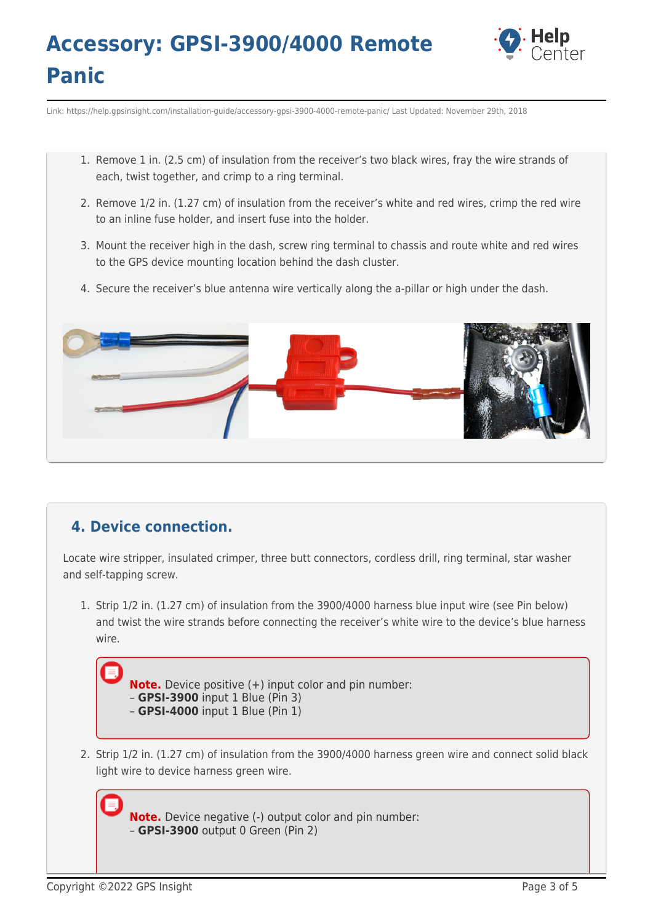

Link: https://help.gpsinsight.com/installation-guide/accessory-gpsi-3900-4000-remote-panic/ Last Updated: November 29th, 2018

- 1. Remove 1 in. (2.5 cm) of insulation from the receiver's two black wires, fray the wire strands of each, twist together, and crimp to a ring terminal.
- 2. Remove 1/2 in. (1.27 cm) of insulation from the receiver's white and red wires, crimp the red wire to an inline fuse holder, and insert fuse into the holder.
- 3. Mount the receiver high in the dash, screw ring terminal to chassis and route white and red wires to the GPS device mounting location behind the dash cluster.
- 4. Secure the receiver's blue antenna wire vertically along the a-pillar or high under the dash.



### **4. Device connection.**

Locate wire stripper, insulated crimper, three butt connectors, cordless drill, ring terminal, star washer and self-tapping screw.

1. Strip 1/2 in. (1.27 cm) of insulation from the 3900/4000 harness blue input wire (see Pin below) and twist the wire strands before connecting the receiver's white wire to the device's blue harness wire.



2. Strip 1/2 in. (1.27 cm) of insulation from the 3900/4000 harness green wire and connect solid black light wire to device harness green wire.

**Note.** Device negative (-) output color and pin number: – **GPSI-3900** output 0 Green (Pin 2)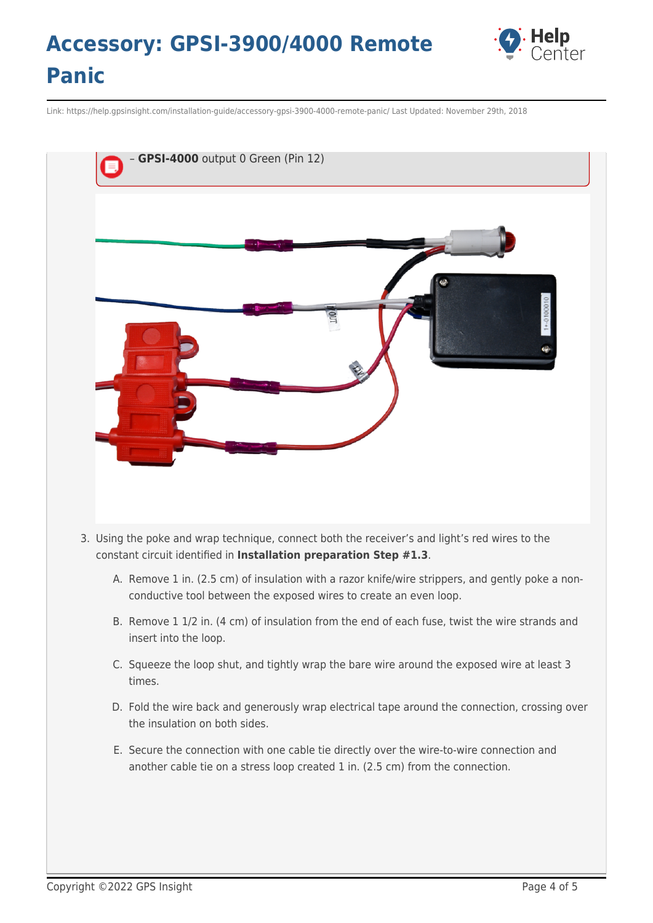

Link: https://help.gpsinsight.com/installation-guide/accessory-gpsi-3900-4000-remote-panic/ Last Updated: November 29th, 2018



- 3. Using the poke and wrap technique, connect both the receiver's and light's red wires to the constant circuit identified in **Installation preparation Step #1.3**.
	- A. Remove 1 in. (2.5 cm) of insulation with a razor knife/wire strippers, and gently poke a nonconductive tool between the exposed wires to create an even loop.
	- B. Remove 1 1/2 in. (4 cm) of insulation from the end of each fuse, twist the wire strands and insert into the loop.
	- C. Squeeze the loop shut, and tightly wrap the bare wire around the exposed wire at least 3 times.
	- D. Fold the wire back and generously wrap electrical tape around the connection, crossing over the insulation on both sides.
	- E. Secure the connection with one cable tie directly over the wire-to-wire connection and another cable tie on a stress loop created 1 in. (2.5 cm) from the connection.